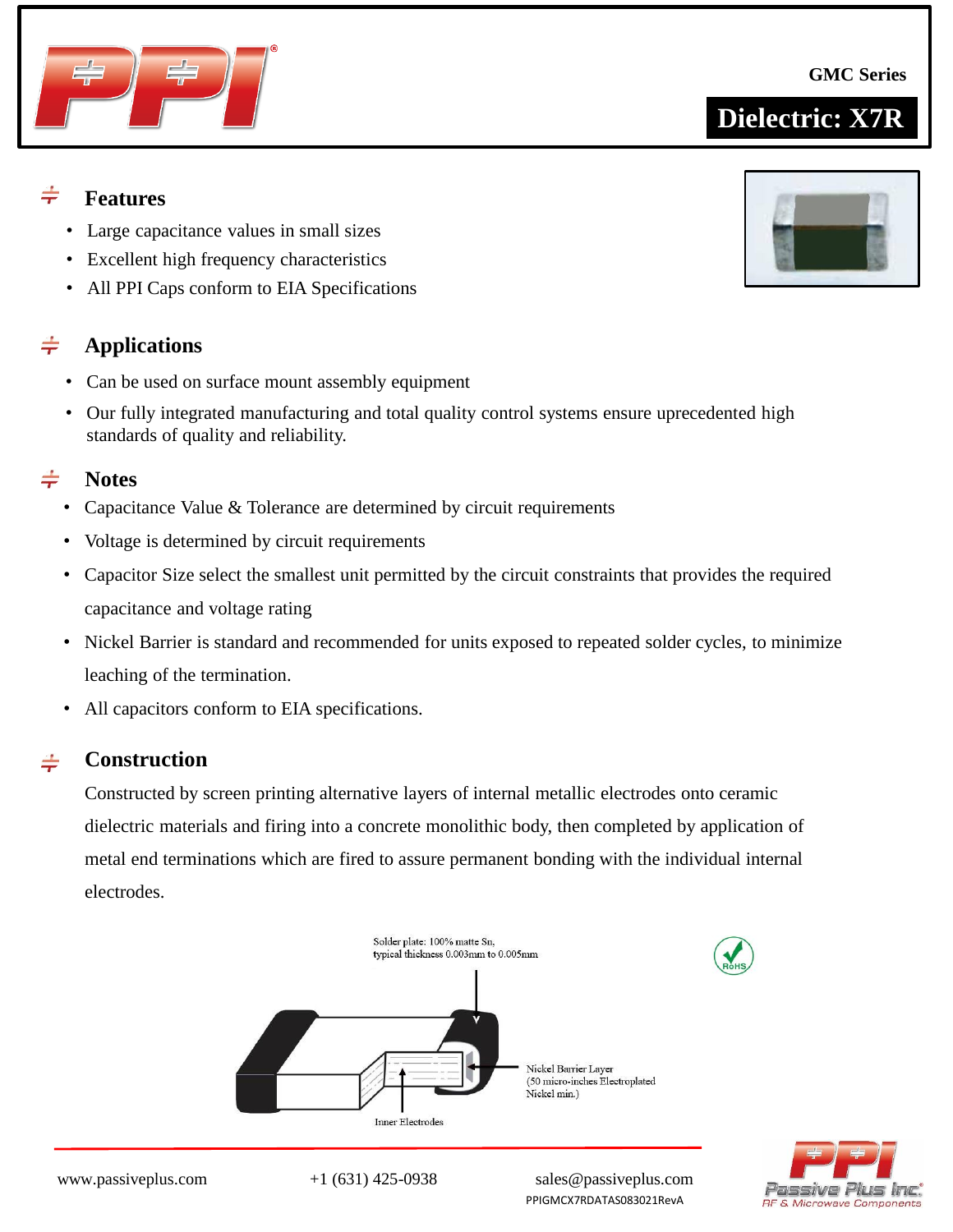

**Applications**

#### $\div$ **Notes**

- Capacitance Value & Tolerance are determined by circuit requirements
- Voltage is determined by circuit requirements

• Large capacitance values in small sizes • Excellent high frequency characteristics

• All PPI Caps conform to EIA Specifications

• Can be used on surface mount assembly equipment

- Capacitor Size select the smallest unit permitted by the circuit constraints that provides the required capacitance and voltage rating
- Nickel Barrier is standard and recommended for units exposed to repeated solder cycles, to minimize leaching of the termination.
- All capacitors conform to EIA specifications.

#### $\div$ **Construction**

Constructed by screen printing alternative layers of internal metallic electrodes onto ceramic dielectric materials and firing into a concrete monolithic body, then completed by application of metal end terminations which are fired to assure permanent bonding with the individual internal electrodes.











**Features**

 $\div$ 

 $\div$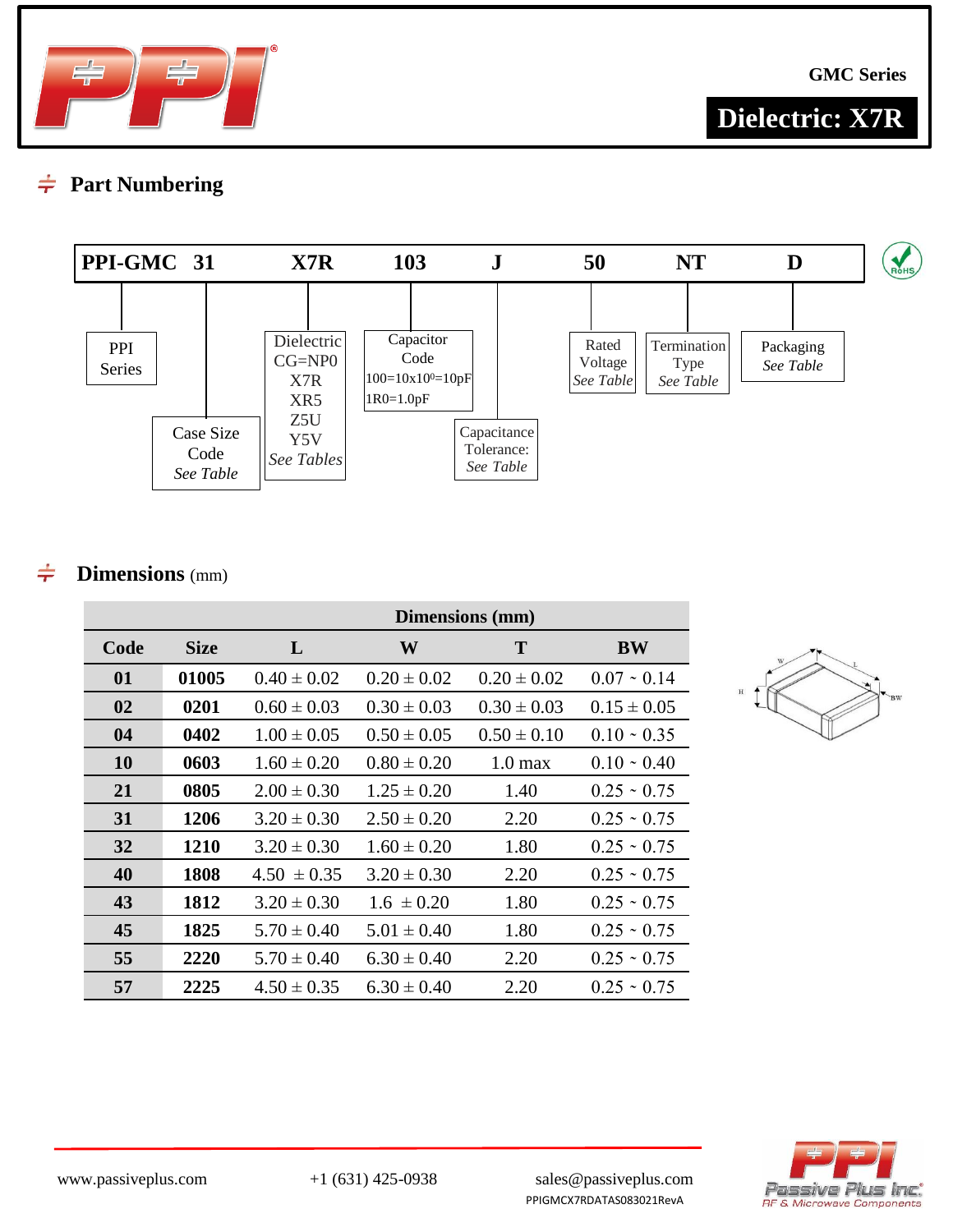

**GMC Series**

# **Dielectric: X7R**

#### **Part Numbering**  $\div$



#### **Dimensions** (mm)  $\div$

|      |             | Dimensions (mm) |                 |                   |                   |  |  |  |  |  |  |  |
|------|-------------|-----------------|-----------------|-------------------|-------------------|--|--|--|--|--|--|--|
| Code | <b>Size</b> | L               | W               | T                 | <b>BW</b>         |  |  |  |  |  |  |  |
| 01   | 01005       | $0.40 \pm 0.02$ | $0.20 \pm 0.02$ | $0.20 \pm 0.02$   | $0.07 \sim 0.14$  |  |  |  |  |  |  |  |
| 02   | 0201        | $0.60 \pm 0.03$ | $0.30 \pm 0.03$ | $0.30 \pm 0.03$   | $0.15 \pm 0.05$   |  |  |  |  |  |  |  |
| 04   | 0402        | $1.00 \pm 0.05$ | $0.50 \pm 0.05$ | $0.50 \pm 0.10$   | $0.10 \cdot 0.35$ |  |  |  |  |  |  |  |
| 10   | 0603        | $1.60 \pm 0.20$ | $0.80 \pm 0.20$ | $1.0 \text{ max}$ | $0.10 \cdot 0.40$ |  |  |  |  |  |  |  |
| 21   | 0805        | $2.00 \pm 0.30$ | $1.25 \pm 0.20$ | 1.40              | $0.25 \div 0.75$  |  |  |  |  |  |  |  |
| 31   | 1206        | $3.20 \pm 0.30$ | $2.50 \pm 0.20$ | 2.20              | $0.25 \cdot 0.75$ |  |  |  |  |  |  |  |
| 32   | 1210        | $3.20 \pm 0.30$ | $1.60 \pm 0.20$ | 1.80              | $0.25 \cdot 0.75$ |  |  |  |  |  |  |  |
| 40   | 1808        | $4.50 \pm 0.35$ | $3.20 \pm 0.30$ | 2.20              | $0.25 \cdot 0.75$ |  |  |  |  |  |  |  |
| 43   | 1812        | $3.20 \pm 0.30$ | $1.6 \pm 0.20$  | 1.80              | $0.25 \cdot 0.75$ |  |  |  |  |  |  |  |
| 45   | 1825        | $5.70 \pm 0.40$ | $5.01 \pm 0.40$ | 1.80              | $0.25 \cdot 0.75$ |  |  |  |  |  |  |  |
| 55   | 2220        | $5.70 \pm 0.40$ | $6.30 \pm 0.40$ | 2.20              | $0.25 \cdot 0.75$ |  |  |  |  |  |  |  |
| 57   | 2225        | $4.50 \pm 0.35$ | $6.30 \pm 0.40$ | 2.20              | $0.25 \sim 0.75$  |  |  |  |  |  |  |  |



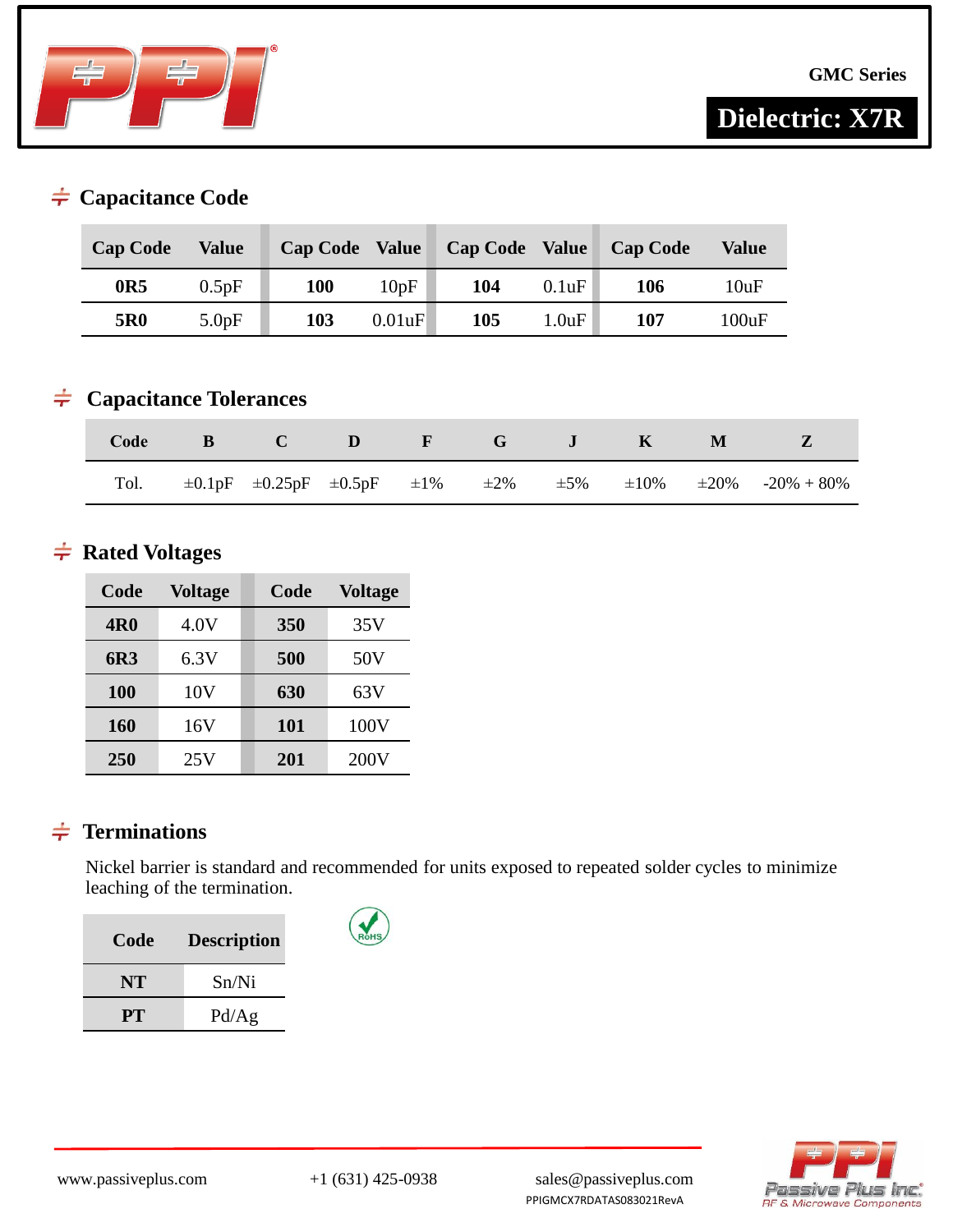

**GMC Series**

# **Dielectric: X7R**

### $\div$  Capacitance Code

| <b>Cap Code</b> | Value | <b>Cap Code</b> | <b>Value</b> | <b>Cap Code Value</b> |       | <b>Cap Code</b> | Value |
|-----------------|-------|-----------------|--------------|-----------------------|-------|-----------------|-------|
| 0R5             | 0.5pF | 100             | 10pF         | 104                   | 0.1uF | 106             | 10uF  |
| 5R <sub>0</sub> | 5.0pF | 103             | 0.01uF       | 105                   | 1.0uF | 107             | 100uF |

### **Capacitance Tolerances**

|  | Code B C D F G J K M Z |  |  |  |                                                                                                          |
|--|------------------------|--|--|--|----------------------------------------------------------------------------------------------------------|
|  |                        |  |  |  | Tol. $\pm 0.1pF$ $\pm 0.25pF$ $\pm 0.5pF$ $\pm 1\%$ $\pm 2\%$ $\pm 5\%$ $\pm 10\%$ $\pm 20\%$ -20% + 80% |

## $\div$  Rated Voltages

| Code       | <b>Voltage</b> | Code | <b>Voltage</b> |
|------------|----------------|------|----------------|
| <b>4R0</b> | 4.0V           | 350  | 35V            |
| 6R3        | 6.3V           | 500  | 50V            |
| 100        | 10V            | 630  | 63V            |
| 160        | 16V            | 101  | 100V           |
| 250        | 25V            | 201  | 200V           |

### $\frac{1}{\pi}$  Terminations

Nickel barrier is standard and recommended for units exposed to repeated solder cycles to minimize leaching of the termination.

| Code | <b>Description</b> |
|------|--------------------|
| NT   | Sn/Ni              |
| PT.  | Pd/Ag              |

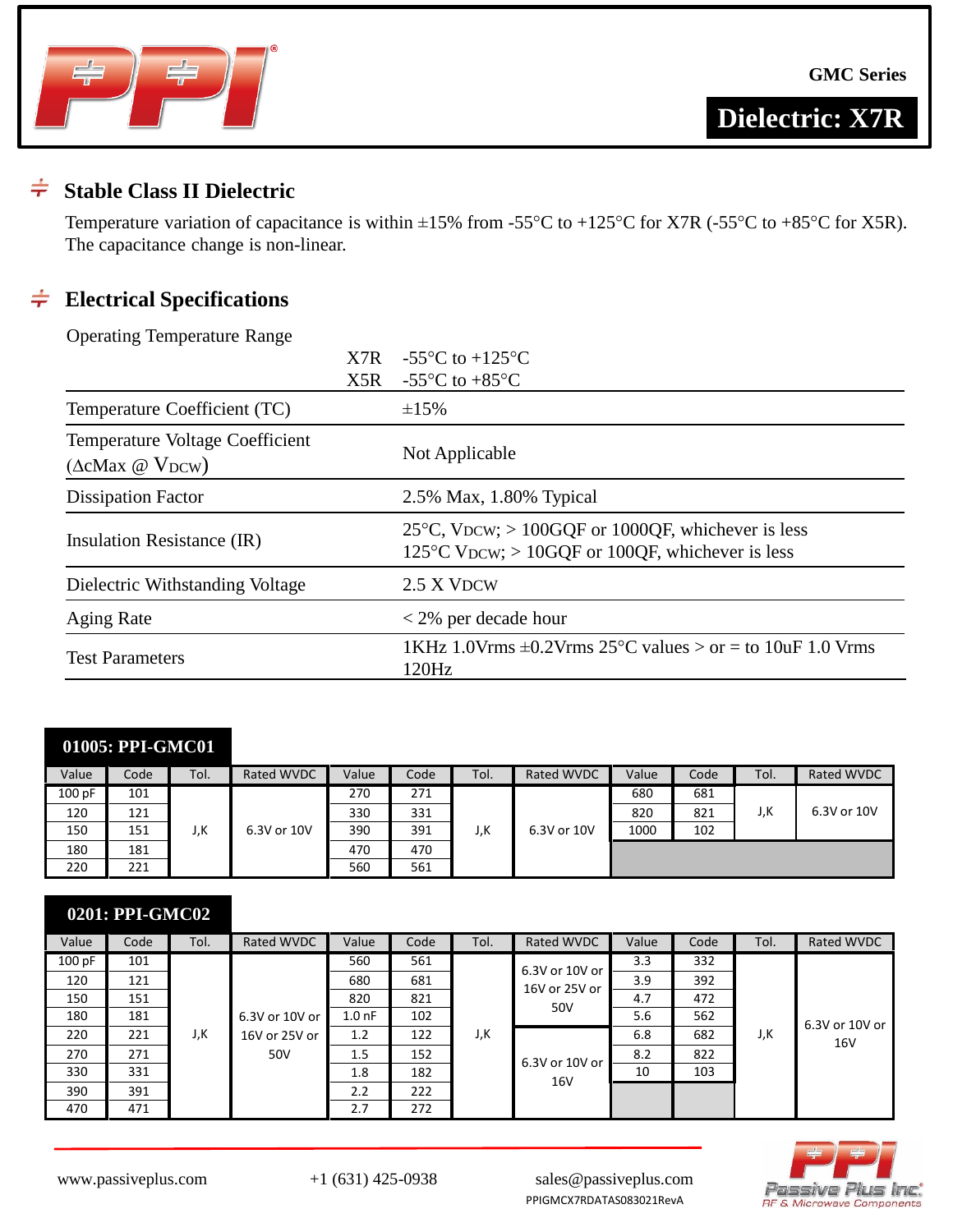



**Dielectric: X7R**

#### $\div$ **Stable Class II Dielectric**

Temperature variation of capacitance is within  $\pm 15\%$  from -55°C to +125°C for X7R (-55°C to +85°C for X5R). The capacitance change is non-linear.

### **Electrical Specifications**

Operating Temperature Range

|                                                                 | X7R | -55 $\mathrm{^{\circ}C}$ to +125 $\mathrm{^{\circ}C}$                                                                    |
|-----------------------------------------------------------------|-----|--------------------------------------------------------------------------------------------------------------------------|
|                                                                 | X5R | -55 $\mathrm{^{\circ}C}$ to +85 $\mathrm{^{\circ}C}$                                                                     |
| Temperature Coefficient (TC)                                    |     | $\pm 15\%$                                                                                                               |
| Temperature Voltage Coefficient<br>$(\Delta c$ Max @ $V_{DCW})$ |     | Not Applicable                                                                                                           |
| <b>Dissipation Factor</b>                                       |     | 2.5% Max, 1.80% Typical                                                                                                  |
| Insulation Resistance (IR)                                      |     | $25^{\circ}$ C, VDCW; > 100GQF or 1000QF, whichever is less<br>125 $\degree$ C VDCW; > 10GQF or 100QF, whichever is less |
| Dielectric Withstanding Voltage                                 |     | 2.5 X VDCW                                                                                                               |
| <b>Aging Rate</b>                                               |     | $<$ 2% per decade hour                                                                                                   |
| <b>Test Parameters</b>                                          |     | 1KHz 1.0Vrms $\pm$ 0.2Vrms 25°C values > or = to 10uF 1.0 Vrms<br>120Hz                                                  |

| Value  | Code | Tol. | <b>Rated WVDC</b> | Value | Code | Tol. | Rated WVDC  | Value | Code | Tol. | <b>Rated WVDC</b> |
|--------|------|------|-------------------|-------|------|------|-------------|-------|------|------|-------------------|
| 100 pF | 101  |      |                   | 270   | 271  |      |             | 680   | 681  |      |                   |
| 120    | 121  |      |                   | 330   | 331  |      |             | 820   | 821  | J,K  | 6.3V or 10V       |
| 150    | 151  | J,K  | 6.3V or 10V       | 390   | 391  | J,K  | 6.3V or 10V | 1000  | 102  |      |                   |
| 180    | 181  |      |                   | 470   | 470  |      |             |       |      |      |                   |
| 220    | 221  |      |                   | 560   | 561  |      |             |       |      |      |                   |

|        | 0201: PPI-GMC02 |      |                |                  |      |      |                |       |      |      |                 |
|--------|-----------------|------|----------------|------------------|------|------|----------------|-------|------|------|-----------------|
| Value  | Code            | Tol. | Rated WVDC     | Value            | Code | Tol. | Rated WVDC     | Value | Code | Tol. | Rated WVDC      |
| 100 pF | 101             |      |                | 560              | 561  |      | 6.3V or 10V or | 3.3   | 332  |      |                 |
| 120    | 121             |      |                | 680              | 681  |      | 16V or 25V or  | 3.9   | 392  |      |                 |
| 150    | 151             |      |                | 820              | 821  |      |                | 4.7   | 472  |      |                 |
| 180    | 181             |      | 6.3V or 10V or | $1.0 \text{ nF}$ | 102  |      | 50V            | 5.6   | 562  |      | 6.3V or 10V or  |
| 220    | 221             | J,K  | 16V or 25V or  | 1.2              | 122  | J,K  |                | 6.8   | 682  | J,K  | 16 <sub>V</sub> |
| 270    | 271             |      | 50V            | 1.5              | 152  |      | 6.3V or 10V or | 8.2   | 822  |      |                 |
| 330    | 331             |      |                | 1.8              | 182  |      | 16V            | 10    | 103  |      |                 |
| 390    | 391             |      |                | 2.2              | 222  |      |                |       |      |      |                 |
| 470    | 471             |      |                | 2.7              | 272  |      |                |       |      |      |                 |

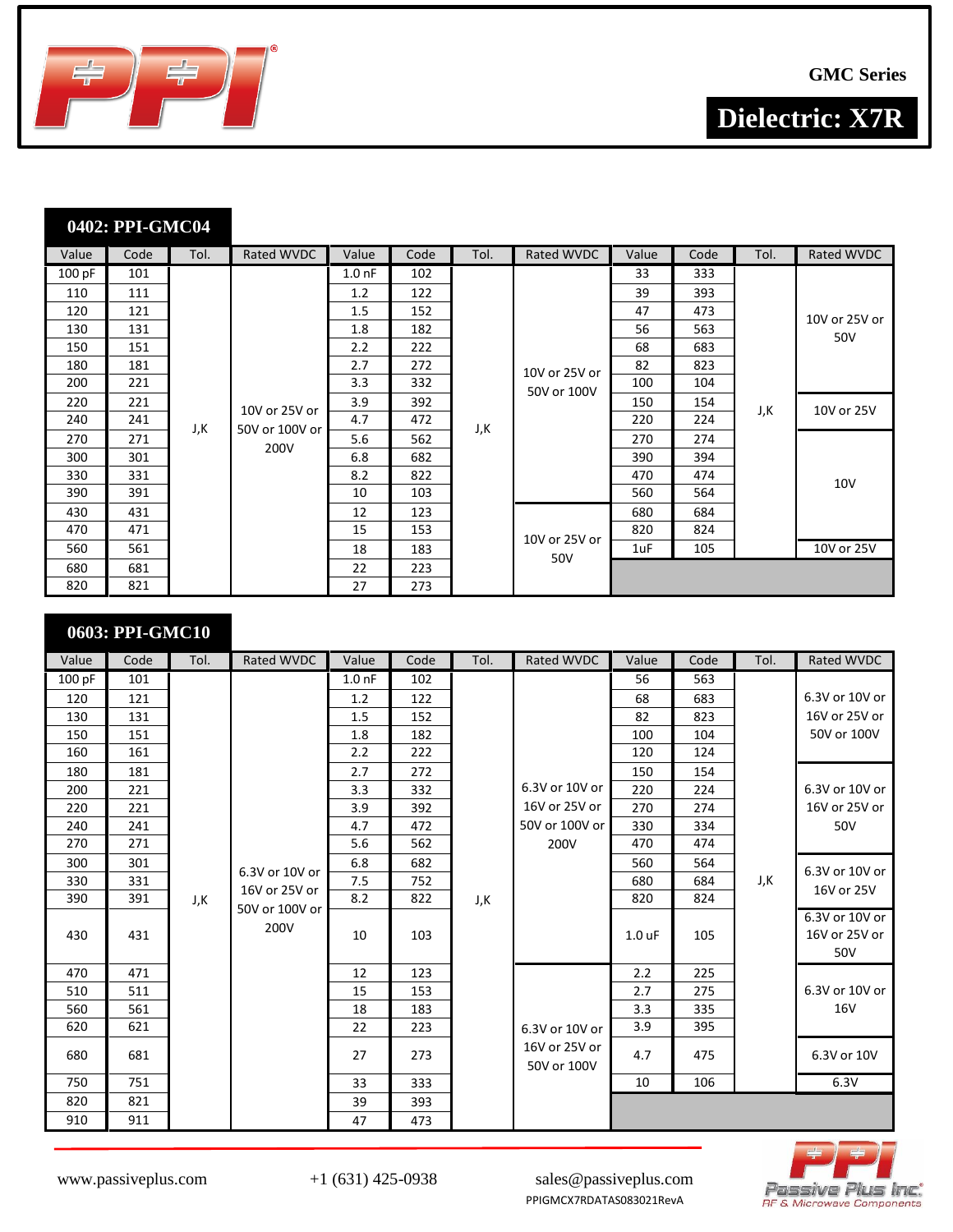



| Value  | Code | Tol. | Rated WVDC     | Value             | Code | Tol. | Rated WVDC    | Value | Code | Tol. | Rated WVDC    |
|--------|------|------|----------------|-------------------|------|------|---------------|-------|------|------|---------------|
| 100 pF | 101  |      |                | 1.0 <sub>nf</sub> | 102  |      |               | 33    | 333  |      |               |
| 110    | 111  |      |                | 1.2               | 122  |      |               | 39    | 393  |      |               |
| 120    | 121  |      |                | 1.5               | 152  |      |               | 47    | 473  |      | 10V or 25V or |
| 130    | 131  |      |                | 1.8               | 182  |      |               | 56    | 563  |      | 50V           |
| 150    | 151  |      |                | 2.2               | 222  |      |               | 68    | 683  |      |               |
| 180    | 181  |      |                | 2.7               | 272  |      | 10V or 25V or | 82    | 823  |      |               |
| 200    | 221  |      |                | 3.3               | 332  |      | 50V or 100V   | 100   | 104  |      |               |
| 220    | 221  |      |                | 3.9               | 392  |      |               | 150   | 154  |      | 10V or 25V    |
| 240    | 241  | J,K  | 10V or 25V or  | 4.7               | 472  |      |               | 220   | 224  | J,K  |               |
| 270    | 271  |      | 50V or 100V or | 5.6               | 562  | J,K  |               | 270   | 274  |      |               |
| 300    | 301  |      | 200V           | 6.8               | 682  |      |               | 390   | 394  |      |               |
| 330    | 331  |      |                | 8.2               | 822  |      |               | 470   | 474  |      | <b>10V</b>    |
| 390    | 391  |      |                | 10                | 103  |      |               | 560   | 564  |      |               |
| 430    | 431  |      |                | 12                | 123  |      |               | 680   | 684  |      |               |
| 470    | 471  |      |                | 15                | 153  |      |               | 820   | 824  |      |               |
| 560    | 561  |      |                | 18                | 183  |      | 10V or 25V or | 1uF   | 105  |      | 10V or 25V    |
| 680    | 681  |      |                | 22                | 223  |      | 50V           |       |      |      |               |
| 820    | 821  |      |                | 27                | 273  |      |               |       |      |      |               |

# **0603: PPI-GMC10** Value Code Tol. Rated WVDC Value Code Tol. Rated WVDC Value Code Tol. Rated WVDC 100 pF 101

| 100 pF | 101 |     |                        | 1.0 <sub>nf</sub> | 102 |     |                              | 56                | 563 |     |                                        |
|--------|-----|-----|------------------------|-------------------|-----|-----|------------------------------|-------------------|-----|-----|----------------------------------------|
| 120    | 121 |     |                        | 1.2               | 122 |     |                              | 68                | 683 |     | 6.3V or 10V or                         |
| 130    | 131 |     |                        | 1.5               | 152 |     |                              | 82                | 823 |     | 16V or 25V or                          |
| 150    | 151 |     |                        | 1.8               | 182 |     |                              | 100               | 104 |     | 50V or 100V                            |
| 160    | 161 |     |                        | 2.2               | 222 |     |                              | 120               | 124 |     |                                        |
| 180    | 181 |     |                        | 2.7               | 272 |     |                              | 150               | 154 |     |                                        |
| 200    | 221 |     |                        | 3.3               | 332 |     | 6.3V or 10V or               | 220               | 224 |     | 6.3V or 10V or                         |
| 220    | 221 |     |                        | 3.9               | 392 |     | 16V or 25V or                | 270               | 274 |     | 16V or 25V or                          |
| 240    | 241 |     |                        | 4.7               | 472 |     | 50V or 100V or               | 330               | 334 |     | 50V                                    |
| 270    | 271 |     |                        | 5.6               | 562 |     | 200V                         | 470               | 474 |     |                                        |
| 300    | 301 |     | 6.3V or 10V or         | 6.8               | 682 |     |                              | 560               | 564 |     | 6.3V or 10V or                         |
| 330    | 331 |     |                        | 7.5               | 752 |     |                              | 680               | 684 | J,K |                                        |
| 390    | 391 | J,K | 16V or 25V or          | 8.2               | 822 | J,K |                              | 820               | 824 |     | 16V or 25V                             |
| 430    | 431 |     | 50V or 100V or<br>200V | 10                | 103 |     |                              | 1.0 <sub>uF</sub> | 105 |     | 6.3V or 10V or<br>16V or 25V or<br>50V |
| 470    | 471 |     |                        | 12                | 123 |     |                              | 2.2               | 225 |     |                                        |
| 510    | 511 |     |                        | 15                | 153 |     |                              | 2.7               | 275 |     | 6.3V or 10V or                         |
| 560    | 561 |     |                        | 18                | 183 |     |                              | 3.3               | 335 |     | 16V                                    |
| 620    | 621 |     |                        | 22                | 223 |     | 6.3V or 10V or               | 3.9               | 395 |     |                                        |
| 680    | 681 |     |                        | 27                | 273 |     | 16V or 25V or<br>50V or 100V | 4.7               | 475 |     | 6.3V or 10V                            |
| 750    | 751 |     |                        | 33                | 333 |     |                              | 10                | 106 |     | 6.3V                                   |
| 820    | 821 |     |                        | 39                | 393 |     |                              |                   |     |     |                                        |
| 910    | 911 |     |                        | 47                | 473 |     |                              |                   |     |     |                                        |

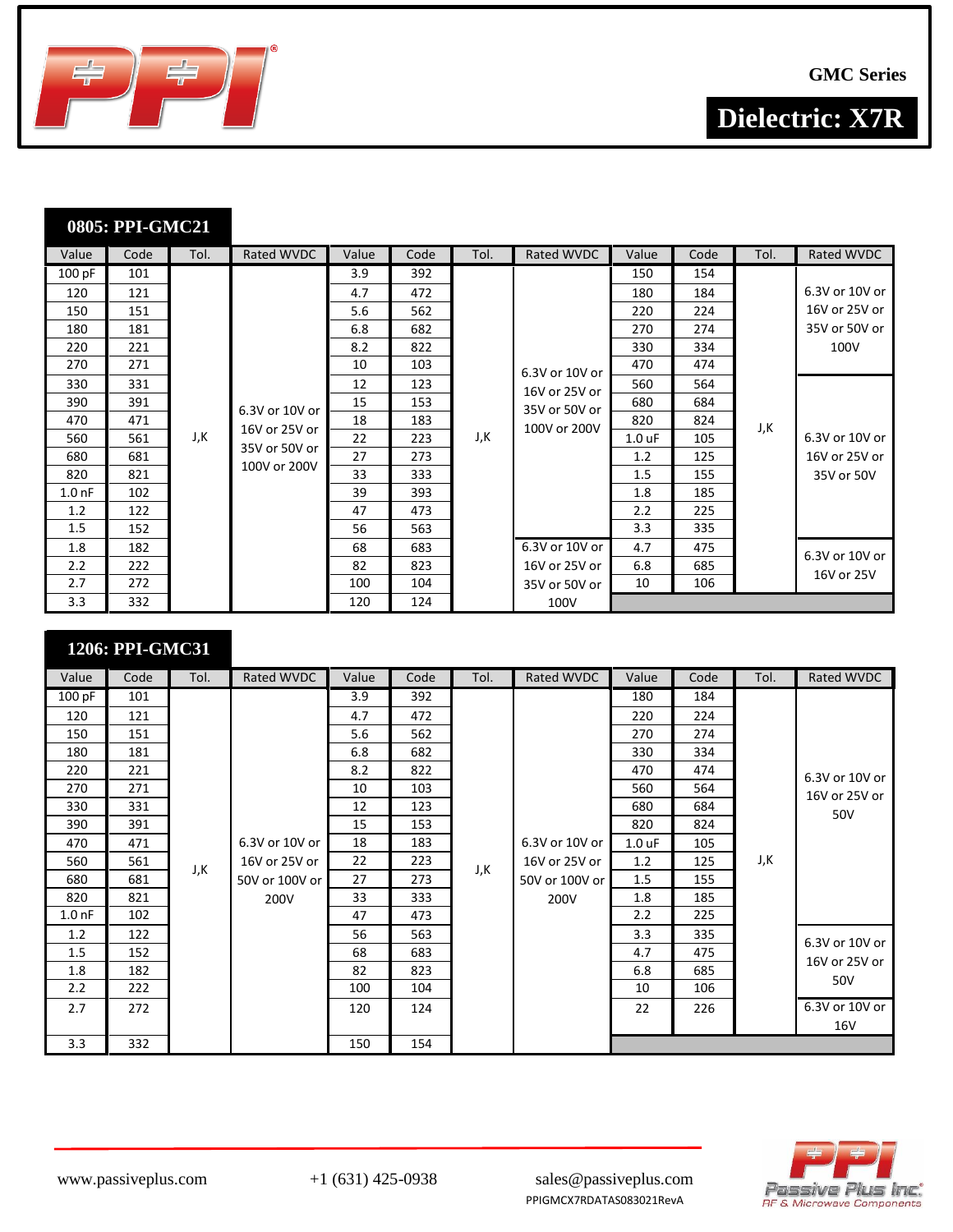



| Value             | Code | Tol. | Rated WVDC     | Value | Code | Tol. | Rated WVDC     | Value             | Code | Tol. | Rated WVDC     |
|-------------------|------|------|----------------|-------|------|------|----------------|-------------------|------|------|----------------|
| 100 pF            | 101  |      |                | 3.9   | 392  |      |                | 150               | 154  |      |                |
| 120               | 121  |      |                | 4.7   | 472  |      |                | 180               | 184  |      | 6.3V or 10V or |
| 150               | 151  |      |                | 5.6   | 562  |      |                | 220               | 224  |      | 16V or 25V or  |
| 180               | 181  |      |                | 6.8   | 682  |      |                | 270               | 274  |      | 35V or 50V or  |
| 220               | 221  |      |                | 8.2   | 822  |      |                | 330               | 334  |      | 100V           |
| 270               | 271  |      |                | 10    | 103  |      | 6.3V or 10V or | 470               | 474  |      |                |
| 330               | 331  |      |                | 12    | 123  |      | 16V or 25V or  | 560               | 564  |      |                |
| 390               | 391  |      | 6.3V or 10V or | 15    | 153  |      | 35V or 50V or  | 680               | 684  |      |                |
| 470               | 471  |      |                | 18    | 183  |      |                | 820               | 824  | J,K  |                |
| 560               | 561  | J,K  | 16V or 25V or  | 22    | 223  | J,K  | 100V or 200V   | 1.0 <sub>uF</sub> | 105  |      | 6.3V or 10V or |
| 680               | 681  |      | 35V or 50V or  | 27    | 273  |      |                | 1.2               | 125  |      | 16V or 25V or  |
| 820               | 821  |      | 100V or 200V   | 33    | 333  |      |                | 1.5               | 155  |      | 35V or 50V     |
| 1.0 <sub>nf</sub> | 102  |      |                | 39    | 393  |      |                | 1.8               | 185  |      |                |
| 1.2               | 122  |      |                | 47    | 473  |      |                | 2.2               | 225  |      |                |
| $1.5\,$           | 152  |      |                | 56    | 563  |      |                | 3.3               | 335  |      |                |
| 1.8               | 182  |      |                | 68    | 683  |      | 6.3V or 10V or | 4.7               | 475  |      | 6.3V or 10V or |
| 2.2               | 222  |      |                | 82    | 823  |      | 16V or 25V or  | 6.8               | 685  |      |                |
| 2.7               | 272  |      |                | 100   | 104  |      | 35V or 50V or  | 10                | 106  |      | 16V or 25V     |
| 3.3               | 332  |      |                | 120   | 124  |      | 100V           |                   |      |      |                |

#### **1206: PPI-GMC31**

| Value             | Code | Tol. | Rated WVDC     | Value | Code | Tol. | Rated WVDC     | Value             | Code | Tol. | Rated WVDC     |
|-------------------|------|------|----------------|-------|------|------|----------------|-------------------|------|------|----------------|
| 100 pF            | 101  |      |                | 3.9   | 392  |      |                | 180               | 184  |      |                |
| 120               | 121  |      |                | 4.7   | 472  |      |                | 220               | 224  |      |                |
| 150               | 151  |      |                | 5.6   | 562  |      |                | 270               | 274  |      |                |
| 180               | 181  |      |                | 6.8   | 682  |      |                | 330               | 334  |      |                |
| 220               | 221  |      |                | 8.2   | 822  |      |                | 470               | 474  |      | 6.3V or 10V or |
| 270               | 271  |      |                | 10    | 103  |      |                | 560               | 564  |      | 16V or 25V or  |
| 330               | 331  |      |                | 12    | 123  |      |                | 680               | 684  |      | 50V            |
| 390               | 391  |      |                | 15    | 153  |      |                | 820               | 824  |      |                |
| 470               | 471  |      | 6.3V or 10V or | 18    | 183  |      | 6.3V or 10V or | 1.0 <sub>uF</sub> | 105  |      |                |
| 560               | 561  | J,K  | 16V or 25V or  | 22    | 223  | J,K  | 16V or 25V or  | 1.2               | 125  | J,K  |                |
| 680               | 681  |      | 50V or 100V or | 27    | 273  |      | 50V or 100V or | 1.5               | 155  |      |                |
| 820               | 821  |      | 200V           | 33    | 333  |      | 200V           | 1.8               | 185  |      |                |
| 1.0 <sub>nf</sub> | 102  |      |                | 47    | 473  |      |                | 2.2               | 225  |      |                |
| 1.2               | 122  |      |                | 56    | 563  |      |                | 3.3               | 335  |      | 6.3V or 10V or |
| 1.5               | 152  |      |                | 68    | 683  |      |                | 4.7               | 475  |      | 16V or 25V or  |
| 1.8               | 182  |      |                | 82    | 823  |      |                | 6.8               | 685  |      |                |
| 2.2               | 222  |      |                | 100   | 104  |      |                | 10                | 106  |      | 50V            |
| 2.7               | 272  |      |                | 120   | 124  |      |                | 22                | 226  |      | 6.3V or 10V or |
|                   |      |      |                |       |      |      |                |                   |      |      | 16V            |
| 3.3               | 332  |      |                | 150   | 154  |      |                |                   |      |      |                |



www.passiveplus.com +1 (631) 425-0938 sales@passiveplus.com PPIGMCX7RDATAS083021RevA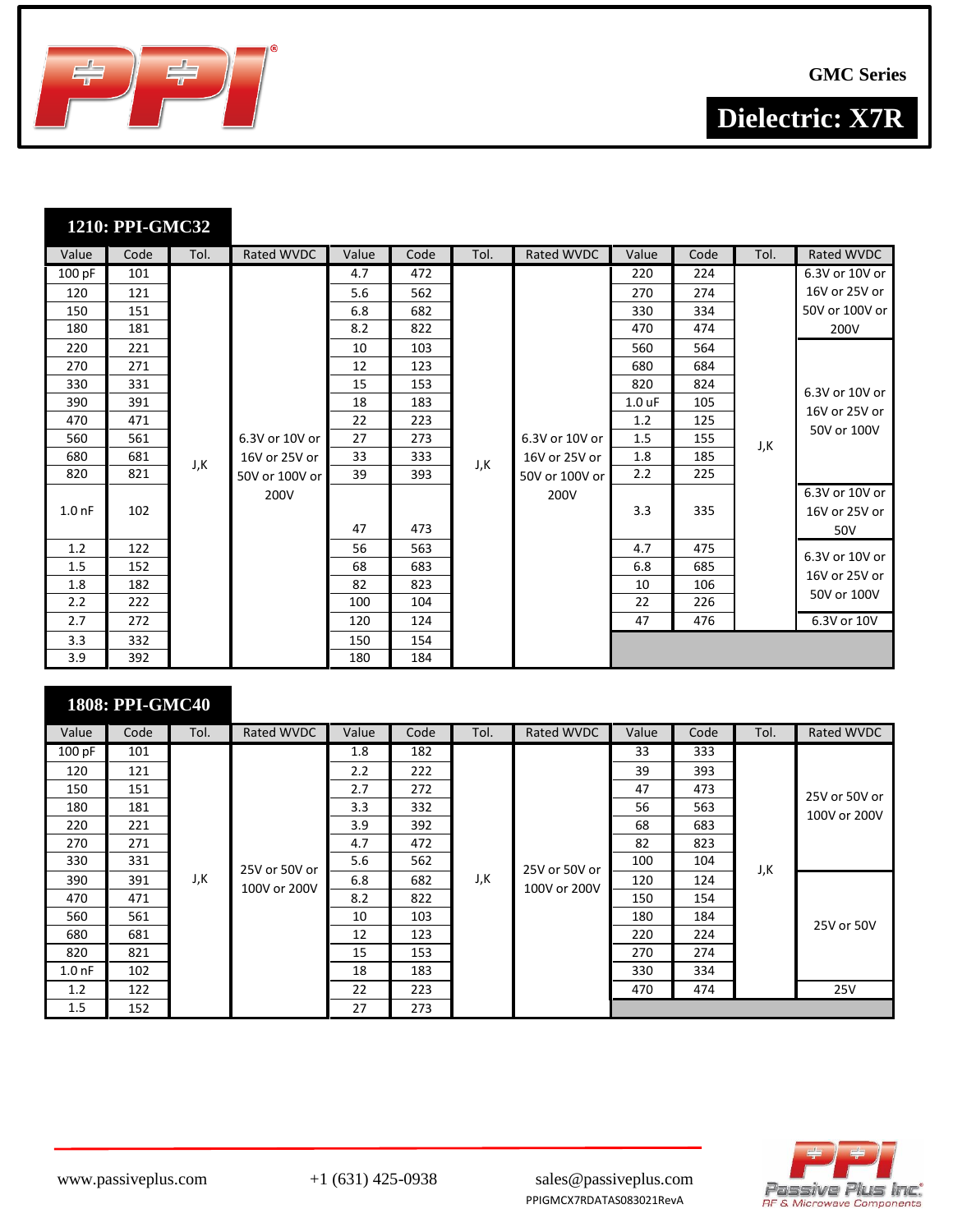



| Value             | Code | Tol. | Rated WVDC     | Value | Code | Tol. | Rated WVDC     | Value             | Code | Tol. | Rated WVDC                             |
|-------------------|------|------|----------------|-------|------|------|----------------|-------------------|------|------|----------------------------------------|
| 100 pF            | 101  |      |                | 4.7   | 472  |      |                | 220               | 224  |      | 6.3V or 10V or                         |
| 120               | 121  |      |                | 5.6   | 562  |      |                | 270               | 274  |      | 16V or 25V or                          |
| 150               | 151  |      |                | 6.8   | 682  |      |                | 330               | 334  |      | 50V or 100V or                         |
| 180               | 181  |      |                | 8.2   | 822  |      |                | 470               | 474  |      | 200V                                   |
| 220               | 221  |      |                | 10    | 103  |      |                | 560               | 564  |      |                                        |
| 270               | 271  |      |                | 12    | 123  |      |                | 680               | 684  |      |                                        |
| 330               | 331  |      |                | 15    | 153  |      |                | 820               | 824  |      | 6.3V or 10V or                         |
| 390               | 391  |      |                | 18    | 183  |      |                | 1.0 <sub>uF</sub> | 105  |      | 16V or 25V or                          |
| 470               | 471  |      |                | 22    | 223  |      |                | 1.2               | 125  |      |                                        |
| 560               | 561  |      | 6.3V or 10V or | 27    | 273  |      | 6.3V or 10V or | 1.5               | 155  | J,K  | 50V or 100V                            |
| 680               | 681  | J,K  | 16V or 25V or  | 33    | 333  | J,K  | 16V or 25V or  | 1.8               | 185  |      |                                        |
| 820               | 821  |      | 50V or 100V or | 39    | 393  |      | 50V or 100V or | 2.2               | 225  |      |                                        |
| 1.0 <sub>nf</sub> | 102  |      | 200V           | 47    | 473  |      | 200V           | 3.3               | 335  |      | 6.3V or 10V or<br>16V or 25V or<br>50V |
| 1.2               | 122  |      |                | 56    | 563  |      |                | 4.7               | 475  |      | 6.3V or 10V or                         |
| 1.5               | 152  |      |                | 68    | 683  |      |                | 6.8               | 685  |      | 16V or 25V or                          |
| 1.8               | 182  |      |                | 82    | 823  |      |                | 10                | 106  |      |                                        |
| 2.2               | 222  |      |                | 100   | 104  |      |                | 22                | 226  |      | 50V or 100V                            |
| 2.7               | 272  |      |                | 120   | 124  |      |                | 47                | 476  |      | 6.3V or 10V                            |
| 3.3               | 332  |      |                | 150   | 154  |      |                |                   |      |      |                                        |
| 3.9               | 392  |      |                | 180   | 184  |      |                |                   |      |      |                                        |

|                   | <b>1808: PPI-GMC40</b> |      |                               |       |      |      |                               |       |      |      |               |
|-------------------|------------------------|------|-------------------------------|-------|------|------|-------------------------------|-------|------|------|---------------|
| Value             | Code                   | Tol. | Rated WVDC                    | Value | Code | Tol. | Rated WVDC                    | Value | Code | Tol. | Rated WVDC    |
| 100 pF            | 101                    |      |                               | 1.8   | 182  |      |                               | 33    | 333  |      |               |
| 120               | 121                    |      |                               | 2.2   | 222  |      |                               | 39    | 393  |      |               |
| 150               | 151                    |      |                               | 2.7   | 272  |      |                               | 47    | 473  |      | 25V or 50V or |
| 180               | 181                    |      |                               | 3.3   | 332  |      |                               | 56    | 563  |      | 100V or 200V  |
| 220               | 221                    |      |                               | 3.9   | 392  |      |                               | 68    | 683  |      |               |
| 270               | 271                    |      | 25V or 50V or<br>100V or 200V | 4.7   | 472  |      | 25V or 50V or<br>100V or 200V | 82    | 823  |      |               |
| 330               | 331                    |      |                               | 5.6   | 562  | J,K  |                               | 100   | 104  | J,K  |               |
| 390               | 391                    | J,K  |                               | 6.8   | 682  |      |                               | 120   | 124  |      |               |
| 470               | 471                    |      |                               | 8.2   | 822  |      |                               | 150   | 154  |      |               |
| 560               | 561                    |      |                               | 10    | 103  |      |                               | 180   | 184  |      | 25V or 50V    |
| 680               | 681                    |      |                               | 12    | 123  |      |                               | 220   | 224  |      |               |
| 820               | 821                    |      |                               | 15    | 153  |      |                               | 270   | 274  |      |               |
| 1.0 <sub>nf</sub> | 102                    |      |                               | 18    | 183  |      |                               | 330   | 334  |      |               |
| 1.2               | 122                    |      |                               | 22    | 223  |      |                               | 470   | 474  |      | 25V           |
| 1.5               | 152                    |      |                               | 27    | 273  |      |                               |       |      |      |               |

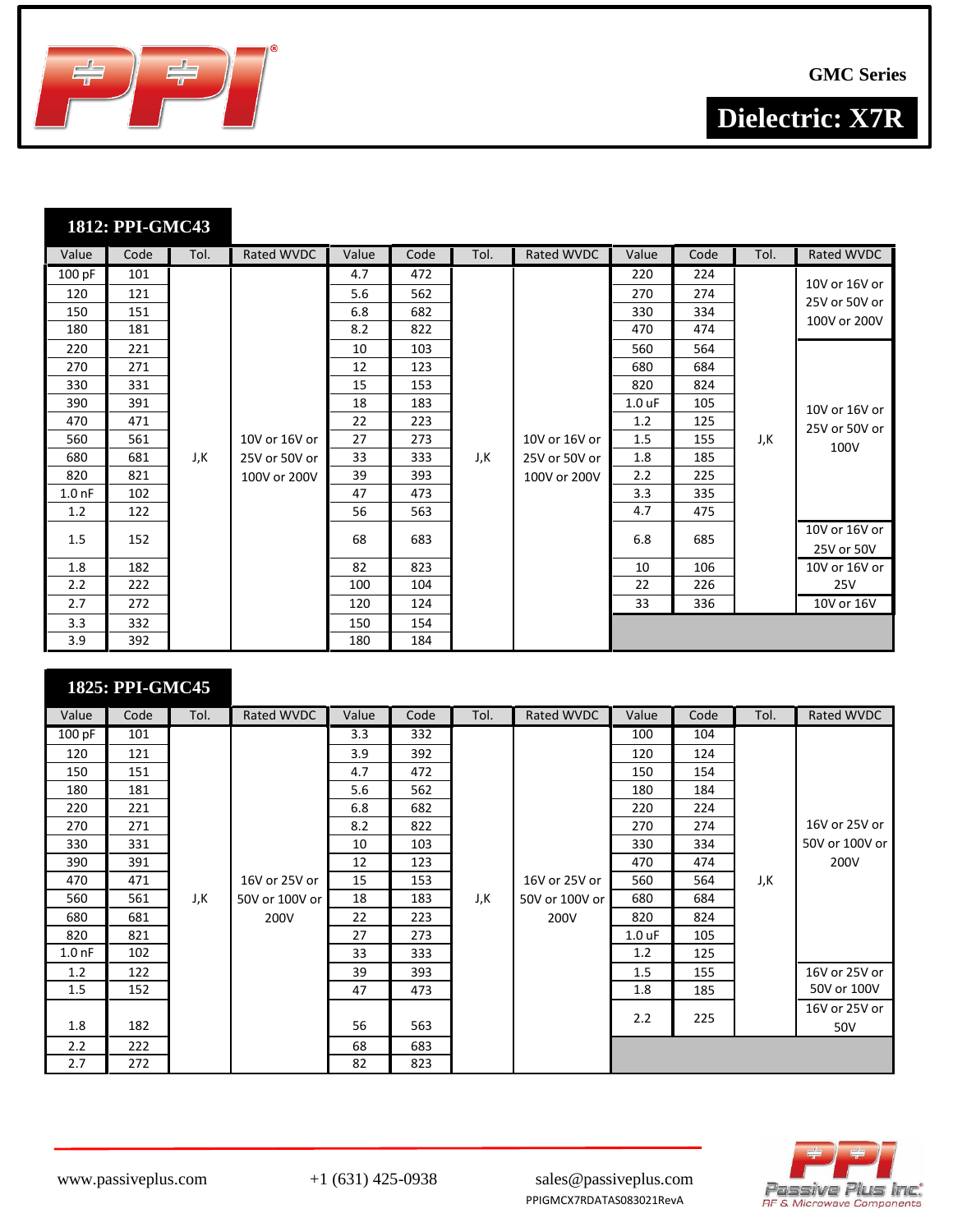



| Value             | Code | Tol. | Rated WVDC    | Value | Code | Tol. | Rated WVDC    | Value             | Code | Tol. | Rated WVDC                    |
|-------------------|------|------|---------------|-------|------|------|---------------|-------------------|------|------|-------------------------------|
| 100 pF            | 101  |      |               | 4.7   | 472  |      |               | 220               | 224  |      | 10V or 16V or                 |
| 120               | 121  |      |               | 5.6   | 562  |      |               | 270               | 274  |      |                               |
| 150               | 151  |      |               | 6.8   | 682  |      |               | 330               | 334  |      | 25V or 50V or<br>100V or 200V |
| 180               | 181  |      |               | 8.2   | 822  |      |               | 470               | 474  |      |                               |
| 220               | 221  |      |               | 10    | 103  |      |               | 560               | 564  |      |                               |
| 270               | 271  |      |               | 12    | 123  |      |               | 680               | 684  |      |                               |
| 330               | 331  |      |               | 15    | 153  |      |               | 820               | 824  |      |                               |
| 390               | 391  |      |               | 18    | 183  |      |               | 1.0 <sub>uF</sub> | 105  |      | 10V or 16V or                 |
| 470               | 471  |      |               | 22    | 223  |      |               | 1.2               | 125  |      | 25V or 50V or                 |
| 560               | 561  |      | 10V or 16V or | 27    | 273  |      | 10V or 16V or | 1.5               | 155  | J,K  | 100V                          |
| 680               | 681  | J,K  | 25V or 50V or | 33    | 333  | J,K  | 25V or 50V or | 1.8               | 185  |      |                               |
| 820               | 821  |      | 100V or 200V  | 39    | 393  |      | 100V or 200V  | 2.2               | 225  |      |                               |
| 1.0 <sub>nf</sub> | 102  |      |               | 47    | 473  |      |               | 3.3               | 335  |      |                               |
| 1.2               | 122  |      |               | 56    | 563  |      |               | 4.7               | 475  |      |                               |
| 1.5               | 152  |      |               | 68    | 683  |      |               | 6.8               | 685  |      | 10V or 16V or                 |
|                   |      |      |               |       |      |      |               |                   |      |      | 25V or 50V                    |
| 1.8               | 182  |      |               | 82    | 823  |      |               | 10                | 106  |      | 10V or 16V or                 |
| 2.2               | 222  |      |               | 100   | 104  |      |               | 22                | 226  |      | 25V                           |
| 2.7               | 272  |      |               | 120   | 124  |      |               | 33                | 336  |      | 10V or 16V                    |
| 3.3               | 332  |      |               | 150   | 154  |      |               |                   |      |      |                               |
| 3.9               | 392  |      |               | 180   | 184  |      |               |                   |      |      |                               |

|                   | 1825: PPI-GMC45 |      |                |       |      |      |                |          |      |      |                |
|-------------------|-----------------|------|----------------|-------|------|------|----------------|----------|------|------|----------------|
| Value             | Code            | Tol. | Rated WVDC     | Value | Code | Tol. | Rated WVDC     | Value    | Code | Tol. | Rated WVDC     |
| 100 pF            | 101             |      |                | 3.3   | 332  |      |                | 100      | 104  |      |                |
| 120               | 121             |      |                | 3.9   | 392  |      |                | 120      | 124  |      |                |
| 150               | 151             |      |                | 4.7   | 472  |      |                | 150      | 154  |      |                |
| 180               | 181             |      |                | 5.6   | 562  |      |                | 180      | 184  |      |                |
| 220               | 221             |      |                | 6.8   | 682  |      |                | 220      | 224  |      |                |
| 270               | 271             |      |                | 8.2   | 822  |      |                | 270      | 274  |      | 16V or 25V or  |
| 330               | 331             |      |                | 10    | 103  |      |                | 330      | 334  |      | 50V or 100V or |
| 390               | 391             |      |                | 12    | 123  |      |                | 470      | 474  |      | 200V           |
| 470               | 471             |      | 16V or 25V or  | 15    | 153  |      | 16V or 25V or  | 560      | 564  | J,K  |                |
| 560               | 561             | J,K  | 50V or 100V or | 18    | 183  | J,K  | 50V or 100V or | 680      | 684  |      |                |
| 680               | 681             |      | 200V           | 22    | 223  |      | 200V           | 820      | 824  |      |                |
| 820               | 821             |      |                | 27    | 273  |      |                | $1.0$ uF | 105  |      |                |
| 1.0 <sub>nf</sub> | 102             |      |                | 33    | 333  |      |                | 1.2      | 125  |      |                |
| 1.2               | 122             |      |                | 39    | 393  |      |                | 1.5      | 155  |      | 16V or 25V or  |
| 1.5               | 152             |      |                | 47    | 473  |      |                | 1.8      | 185  |      | 50V or 100V    |
|                   |                 |      |                |       |      |      |                | 2.2      | 225  |      | 16V or 25V or  |
| 1.8               | 182             |      |                | 56    | 563  |      |                |          |      |      | 50V            |
| 2.2               | 222             |      |                | 68    | 683  |      |                |          |      |      |                |
| 2.7               | 272             |      |                | 82    | 823  |      |                |          |      |      |                |

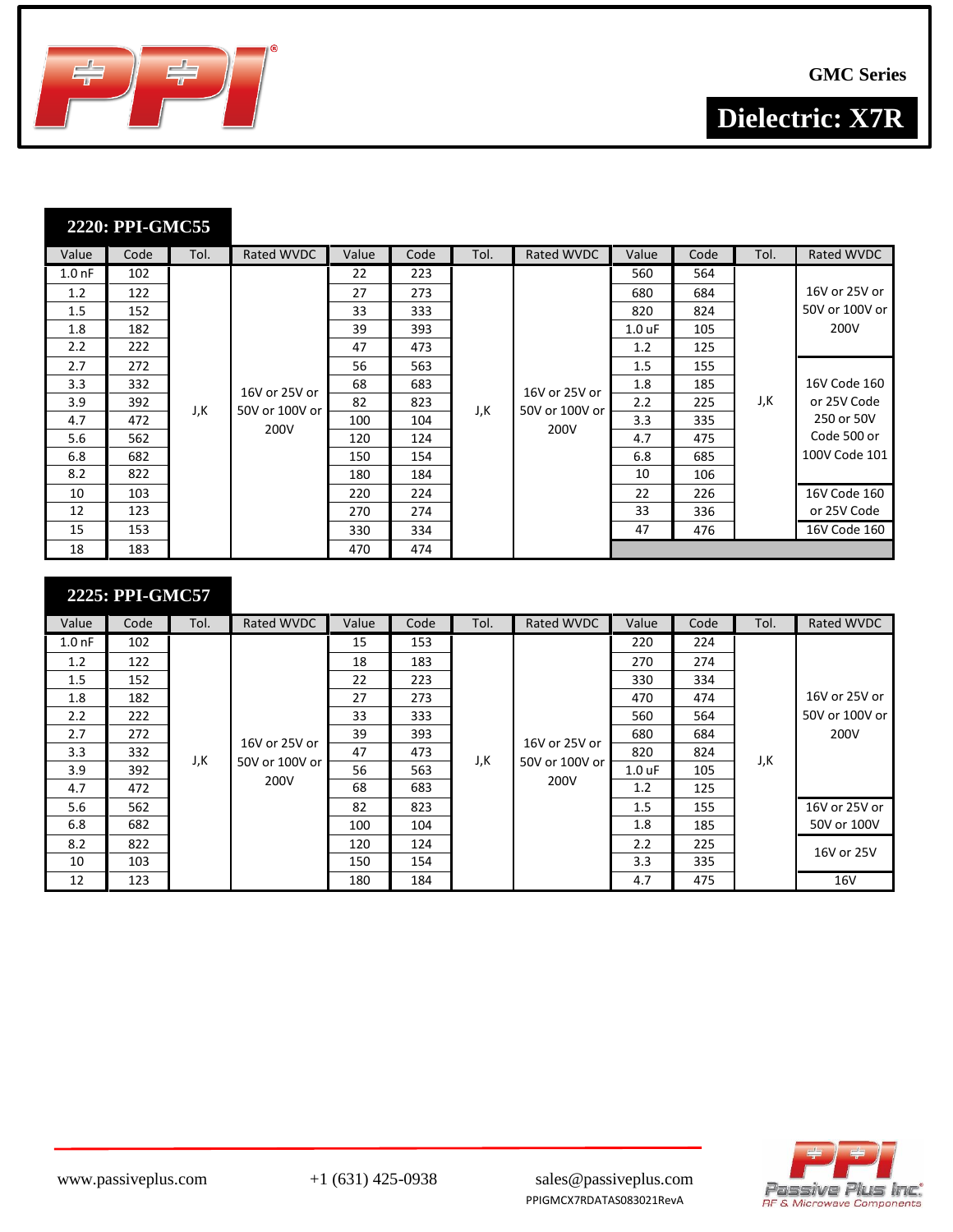



| Value             | Code | Tol. | Rated WVDC     | Value | Code | Tol. | Rated WVDC             | Value    | Code | Tol. | Rated WVDC     |
|-------------------|------|------|----------------|-------|------|------|------------------------|----------|------|------|----------------|
| 1.0 <sub>nf</sub> | 102  |      |                | 22    | 223  |      |                        | 560      | 564  |      |                |
| 1.2               | 122  |      |                | 27    | 273  |      |                        | 680      | 684  |      | 16V or 25V or  |
| 1.5               | 152  |      |                | 33    | 333  |      |                        | 820      | 824  |      | 50V or 100V or |
| 1.8               | 182  |      |                | 39    | 393  |      |                        | $1.0$ uF | 105  |      | 200V           |
| 2.2               | 222  |      |                | 47    | 473  |      |                        | 1.2      | 125  |      |                |
| 2.7               | 272  |      |                | 56    | 563  |      |                        | 1.5      | 155  |      |                |
| 3.3               | 332  |      | 16V or 25V or  | 68    | 683  |      | 16V or 25V or          | 1.8      | 185  | J,K  | 16V Code 160   |
| 3.9               | 392  | J,K  | 50V or 100V or | 82    | 823  | J,K  | 50V or 100V or<br>200V | 2.2      | 225  |      | or 25V Code    |
| 4.7               | 472  |      |                | 100   | 104  |      |                        | 3.3      | 335  |      | 250 or 50V     |
| 5.6               | 562  |      | 200V           | 120   | 124  |      |                        | 4.7      | 475  |      | Code 500 or    |
| 6.8               | 682  |      |                | 150   | 154  |      |                        | 6.8      | 685  |      | 100V Code 101  |
| 8.2               | 822  |      |                | 180   | 184  |      |                        | 10       | 106  |      |                |
| 10                | 103  |      |                | 220   | 224  |      |                        | 22       | 226  |      | 16V Code 160   |
| 12                | 123  |      |                | 270   | 274  |      |                        | 33       | 336  |      | or 25V Code    |
| 15                | 153  |      |                | 330   | 334  |      |                        | 47       | 476  |      | 16V Code 160   |
| 18                | 183  |      |                | 470   | 474  |      |                        |          |      |      |                |

| Value     | Code | Tol. | Rated WVDC             | Value | Code | Tol. | Rated WVDC                              | Value             | Code | Tol. | Rated WVDC       |
|-----------|------|------|------------------------|-------|------|------|-----------------------------------------|-------------------|------|------|------------------|
| $1.00$ nF | 102  |      |                        | 15    | 153  |      |                                         | 220               | 224  |      |                  |
| 1.2       | 122  |      |                        | 18    | 183  |      |                                         | 270               | 274  |      |                  |
| 1.5       | 152  |      |                        | 22    | 223  |      |                                         | 330               | 334  |      |                  |
| 1.8       | 182  |      |                        | 27    | 273  |      |                                         | 470               | 474  |      | 16V or 25V or    |
| 2.2       | 222  |      |                        | 33    | 333  |      |                                         | 560               | 564  |      | 50V or 100V or 1 |
| 2.7       | 272  |      | 16V or 25V or          | 39    | 393  |      |                                         | 680               | 684  | J,K  | 200V             |
| 3.3       | 332  | J,K  |                        | 47    | 473  | J,K  | 16V or 25V or<br>50V or 100V or<br>200V | 820               | 824  |      |                  |
| 3.9       | 392  |      | 50V or 100V or<br>200V | 56    | 563  |      |                                         | 1.0 <sub>uF</sub> | 105  |      |                  |
| 4.7       | 472  |      |                        | 68    | 683  |      |                                         | 1.2               | 125  |      |                  |
| 5.6       | 562  |      |                        | 82    | 823  |      |                                         | 1.5               | 155  |      | 16V or 25V or    |
| 6.8       | 682  |      |                        | 100   | 104  |      |                                         | 1.8               | 185  |      | 50V or 100V      |
| 8.2       | 822  |      |                        | 120   | 124  |      |                                         | 2.2               | 225  |      | 16V or 25V       |
| 10        | 103  |      |                        | 150   | 154  |      |                                         | 3.3               | 335  |      |                  |
| 12        | 123  |      |                        | 180   | 184  |      |                                         | 4.7               | 475  |      | 16V              |

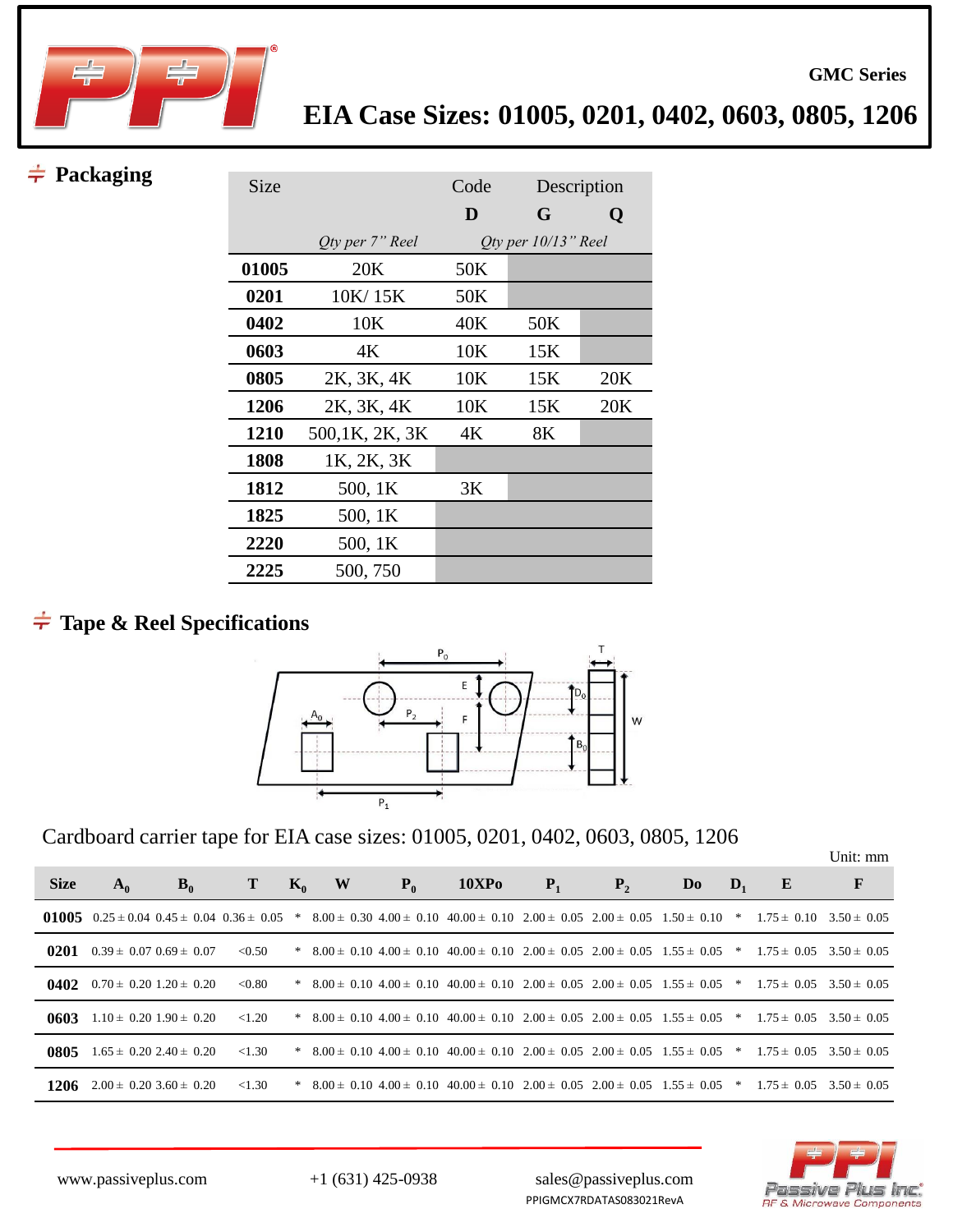

## $\neq$  Packaging

| Size        |                        | Code |                        | Description |
|-------------|------------------------|------|------------------------|-------------|
|             |                        | D    | G                      | Q           |
|             | <i>Oty per 7" Reel</i> |      | Oty per $10/13$ " Reel |             |
| 01005       | 20K                    | 50K  |                        |             |
| 0201        | 10K/15K                | 50K  |                        |             |
| 0402        | 10K                    | 40K  | 50K                    |             |
| 0603        | 4K                     | 10K  | 15K                    |             |
| 0805        | 2K, 3K, 4K             | 10K  | 15K                    | 20K         |
| 1206        | 2K, 3K, 4K             | 10K  | 15K                    | 20K         |
| <b>1210</b> | 500,1K, 2K, 3K         | 4К   | 8K                     |             |
| 1808        | 1K, 2K, 3K             |      |                        |             |
| 1812        | 500, 1K                | 3K   |                        |             |
| 1825        | 500, 1K                |      |                        |             |
| 2220        | 500, 1K                |      |                        |             |
| 2225        | 500, 750               |      |                        |             |

# **Tape & Reel Specifications**



Cardboard carrier tape for EIA case sizes: 01005, 0201, 0402, 0603, 0805, 1206

|             |                                             |       |           |       |   |       |                                                                                                                                                |       |         |                |                |   | Unit: mm |
|-------------|---------------------------------------------|-------|-----------|-------|---|-------|------------------------------------------------------------------------------------------------------------------------------------------------|-------|---------|----------------|----------------|---|----------|
| <b>Size</b> | $A_0$                                       | $B_0$ | T         | $K_0$ | W | $P_0$ | <b>10XPo</b>                                                                                                                                   | $P_1$ | $P_{2}$ | D <sub>0</sub> | $\mathbf{D}_1$ | E | F        |
|             |                                             |       |           |       |   |       | 01005 0.25 ± 0.04 0.45 ± 0.04 0.36 ± 0.05 * 8.00 ± 0.30 4.00 ± 0.10 40.00 ± 0.10 2.00 ± 0.05 2.00 ± 0.05 1.50 ± 0.10 * 1.75 ± 0.10 3.50 ± 0.05 |       |         |                |                |   |          |
| 0201        | $0.39 \pm 0.07$ $0.69 \pm 0.07$             |       | < 0.50    |       |   |       | * $8.00 \pm 0.10$ $4.00 \pm 0.10$ $40.00 \pm 0.10$ $2.00 \pm 0.05$ $2.00 \pm 0.05$ $1.55 \pm 0.05$ * $1.75 \pm 0.05$ $3.50 \pm 0.05$           |       |         |                |                |   |          |
|             | <b>0402</b> $0.70 \pm 0.20$ 1.20 $\pm 0.20$ |       | < 0.80    |       |   |       | * $8.00 \pm 0.10$ $4.00 \pm 0.10$ $40.00 \pm 0.10$ $2.00 \pm 0.05$ $2.00 \pm 0.05$ $1.55 \pm 0.05$ * $1.75 \pm 0.05$ $3.50 \pm 0.05$           |       |         |                |                |   |          |
| 0603        | $1.10 \pm 0.20$ $1.90 \pm 0.20$             |       | < 1.20    |       |   |       | * $8.00 \pm 0.10$ $4.00 \pm 0.10$ $40.00 \pm 0.10$ $2.00 \pm 0.05$ $2.00 \pm 0.05$ $1.55 \pm 0.05$ * $1.75 \pm 0.05$ $3.50 \pm 0.05$           |       |         |                |                |   |          |
| 0805        | $1.65 \pm 0.20$ 2.40 $\pm$ 0.20             |       | ${<}1.30$ |       |   |       | * $8.00 \pm 0.10$ $4.00 \pm 0.10$ $40.00 \pm 0.10$ $2.00 \pm 0.05$ $2.00 \pm 0.05$ $1.55 \pm 0.05$ * $1.75 \pm 0.05$ $3.50 \pm 0.05$           |       |         |                |                |   |          |
|             | 1206 $2.00 \pm 0.2033.60 \pm 0.20$          |       | ${<}1.30$ |       |   |       | * $8.00 \pm 0.10$ $4.00 \pm 0.10$ $40.00 \pm 0.10$ $2.00 \pm 0.05$ $2.00 \pm 0.05$ $1.55 \pm 0.05$ * $1.75 \pm 0.05$ $3.50 \pm 0.05$           |       |         |                |                |   |          |



**GMC Series**

www.passiveplus.com +1 (631) 425-0938 sales@passiveplus.com PPIGMCX7RDATAS083021RevA